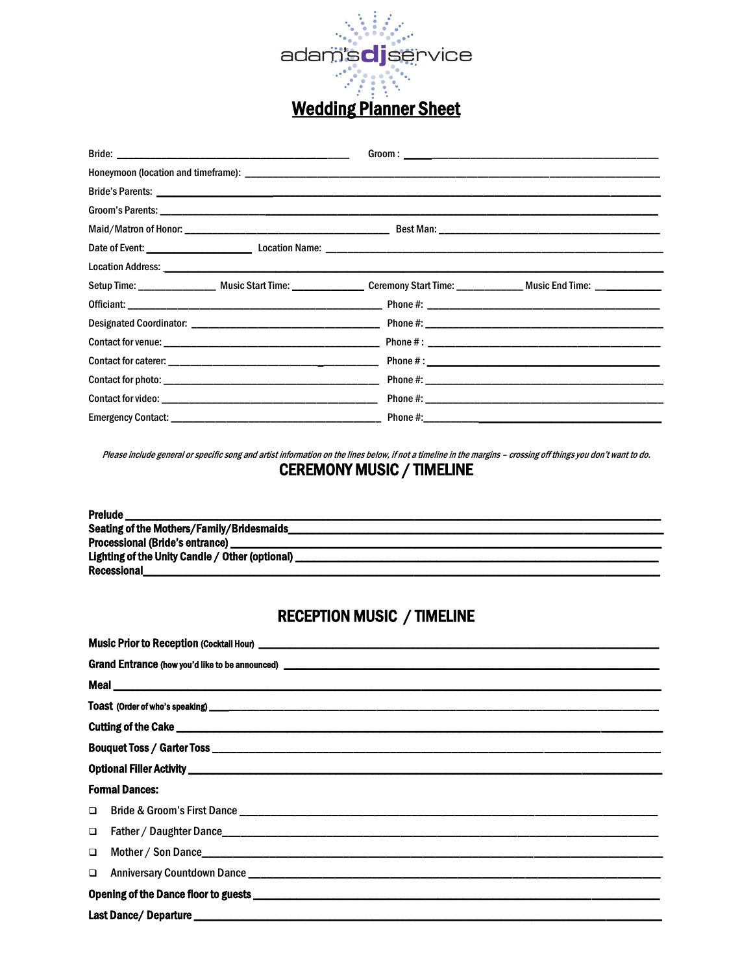

|  |  |  | Setup Time: ________________ Music Start Time: _________________ Ceremony Start Time: _____________ Music End Time: ____________ |  |  |  |  |
|--|--|--|----------------------------------------------------------------------------------------------------------------------------------|--|--|--|--|
|  |  |  |                                                                                                                                  |  |  |  |  |
|  |  |  |                                                                                                                                  |  |  |  |  |
|  |  |  |                                                                                                                                  |  |  |  |  |
|  |  |  |                                                                                                                                  |  |  |  |  |
|  |  |  |                                                                                                                                  |  |  |  |  |
|  |  |  |                                                                                                                                  |  |  |  |  |
|  |  |  |                                                                                                                                  |  |  |  |  |

Please include general or specific song and artist information on the lines below, if not a timeline in the margins - crossing off things you don't want to do.

# **CEREMONY MUSIC / TIMELINE**

| <b>Prelude</b>                                  |
|-------------------------------------------------|
| Seating of the Mothers/Family/Bridesmaids       |
| <b>Processional (Bride's entrance)</b>          |
| Lighting of the Unity Candle / Other (optional) |
| Recessional                                     |

# **RECEPTION MUSIC / TIMELINE**

|                                                                                                                       | Grand Entrance (how you'd like to be announced) entrancement and the set of the set of the set of the set of the set of the set of the set of the set of the set of the set of the set of the set of the set of the set of the |  |  |  |  |
|-----------------------------------------------------------------------------------------------------------------------|--------------------------------------------------------------------------------------------------------------------------------------------------------------------------------------------------------------------------------|--|--|--|--|
|                                                                                                                       |                                                                                                                                                                                                                                |  |  |  |  |
|                                                                                                                       |                                                                                                                                                                                                                                |  |  |  |  |
|                                                                                                                       |                                                                                                                                                                                                                                |  |  |  |  |
|                                                                                                                       |                                                                                                                                                                                                                                |  |  |  |  |
| Optional Filler Activity Physical Activity Activity Activities and Activity Activities and Activity Activity Activity |                                                                                                                                                                                                                                |  |  |  |  |
| <b>Formal Dances:</b>                                                                                                 |                                                                                                                                                                                                                                |  |  |  |  |
|                                                                                                                       |                                                                                                                                                                                                                                |  |  |  |  |
| $\Box$                                                                                                                |                                                                                                                                                                                                                                |  |  |  |  |
| $\Box$                                                                                                                |                                                                                                                                                                                                                                |  |  |  |  |
| $\Box$                                                                                                                |                                                                                                                                                                                                                                |  |  |  |  |
|                                                                                                                       |                                                                                                                                                                                                                                |  |  |  |  |
|                                                                                                                       |                                                                                                                                                                                                                                |  |  |  |  |